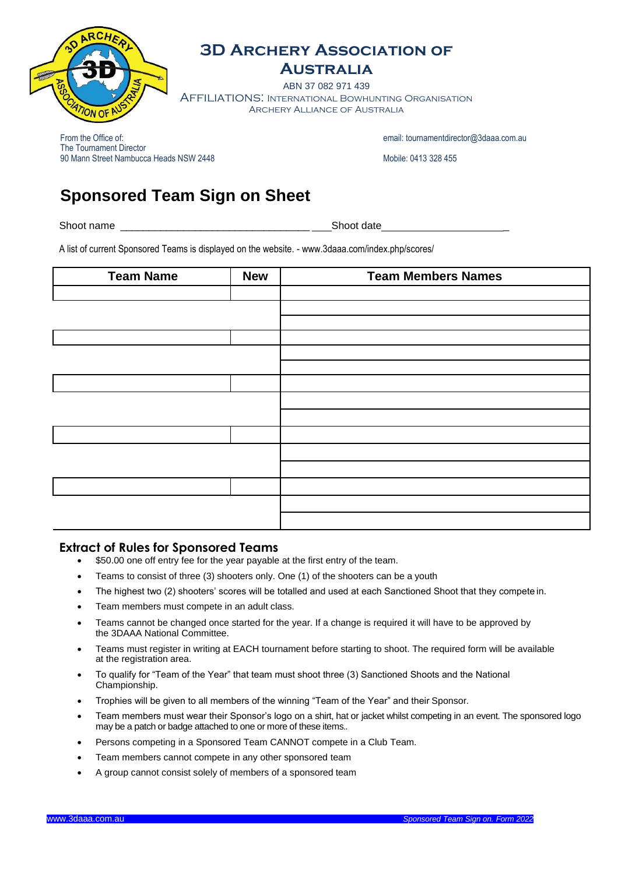

### **3D Archery Association of**

**Australia**

ABN 37 082 971 439 Affiliations: International Bowhunting Organisation Archery Alliance of Australia

From the Office of: email[: tournamentdirector@3daaa.com.au](mailto:tournamentdirector@3daaa.com.au) email: tournamentdirector@3daaa.com.au The Tournament Director 90 Mann Street Nambucca Heads NSW 2448 Mobile: 0413 328 455

# **Sponsored Team Sign on Sheet**

Shoot name \_\_\_\_\_\_\_\_\_\_\_\_\_\_\_\_\_\_\_\_\_\_\_\_\_\_\_\_\_\_\_\_\_ Shoot date \_

A list of current Sponsored Teams is displayed on the website. - [www.3daaa.com/index.php/scores/](http://www.3daaa.com/index.php/scores/)

| <b>Team Name</b> | <b>New</b> | <b>Team Members Names</b> |
|------------------|------------|---------------------------|
|                  |            |                           |
|                  |            |                           |
|                  |            |                           |
|                  |            |                           |
|                  |            |                           |
|                  |            |                           |
|                  |            |                           |
|                  |            |                           |
|                  |            |                           |
|                  |            |                           |
|                  |            |                           |
|                  |            |                           |
|                  |            |                           |
|                  |            |                           |
|                  |            |                           |

#### **Extract of Rules for Sponsored Teams**

- $\bullet$  \$50.00 one off entry fee for the year payable at the first entry of the team.
- Teams to consist of three (3) shooters only. One (1) of the shooters can be a youth
- The highest two (2) shooters' scores will be totalled and used at each Sanctioned Shoot that they compete in.
- Team members must compete in an adult class.
- Teams cannot be changed once started for the year. If a change is required it will have to be approved by the 3DAAA National Committee.
- Teams must register in writing at EACH tournament before starting to shoot. The required form will be available at the registration area.
- To qualify for "Team of the Year" that team must shoot three (3) Sanctioned Shoots and the National Championship.
- Trophies will be given to all members of the winning "Team of the Year" and their Sponsor.
- Team members must wear their Sponsor's logo on a shirt, hat or jacket whilst competing in an event. The sponsored logo may be a patch or badge attached to one or more of these items..
- Persons competing in a Sponsored Team CANNOT compete in a Club Team.
- Team members cannot compete in any other sponsored team
- A group cannot consist solely of members of a sponsored team